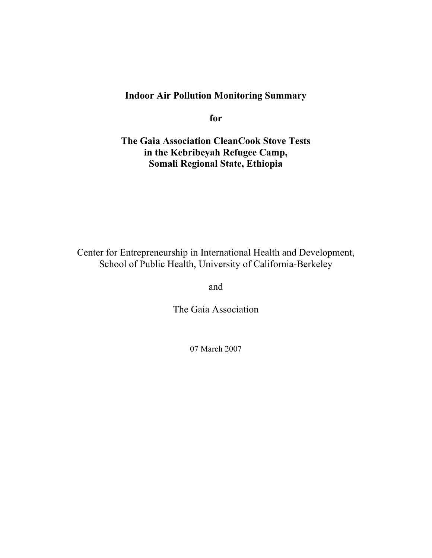# **Indoor Air Pollution Monitoring Summary**

**for** 

**The Gaia Association CleanCook Stove Tests in the Kebribeyah Refugee Camp, Somali Regional State, Ethiopia** 

Center for Entrepreneurship in International Health and Development, School of Public Health, University of California-Berkeley

and

The Gaia Association

07 March 2007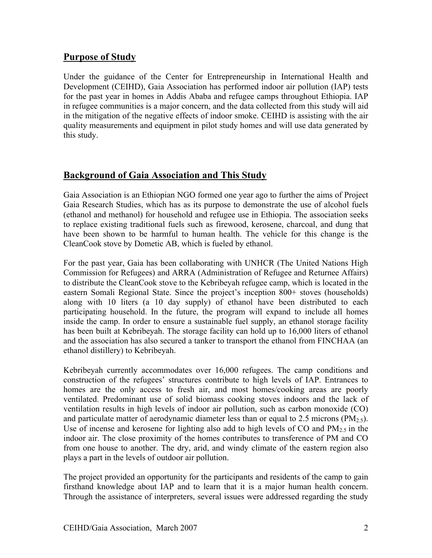## **Purpose of Study**

Under the guidance of the Center for Entrepreneurship in International Health and Development (CEIHD), Gaia Association has performed indoor air pollution (IAP) tests for the past year in homes in Addis Ababa and refugee camps throughout Ethiopia. IAP in refugee communities is a major concern, and the data collected from this study will aid in the mitigation of the negative effects of indoor smoke. CEIHD is assisting with the air quality measurements and equipment in pilot study homes and will use data generated by this study.

## **Background of Gaia Association and This Study**

Gaia Association is an Ethiopian NGO formed one year ago to further the aims of Project Gaia Research Studies, which has as its purpose to demonstrate the use of alcohol fuels (ethanol and methanol) for household and refugee use in Ethiopia. The association seeks to replace existing traditional fuels such as firewood, kerosene, charcoal, and dung that have been shown to be harmful to human health. The vehicle for this change is the CleanCook stove by Dometic AB, which is fueled by ethanol.

For the past year, Gaia has been collaborating with UNHCR (The United Nations High Commission for Refugees) and ARRA (Administration of Refugee and Returnee Affairs) to distribute the CleanCook stove to the Kebribeyah refugee camp, which is located in the eastern Somali Regional State. Since the project's inception 800+ stoves (households) along with 10 liters (a 10 day supply) of ethanol have been distributed to each participating household. In the future, the program will expand to include all homes inside the camp. In order to ensure a sustainable fuel supply, an ethanol storage facility has been built at Kebribeyah. The storage facility can hold up to 16,000 liters of ethanol and the association has also secured a tanker to transport the ethanol from FINCHAA (an ethanol distillery) to Kebribeyah.

Kebribeyah currently accommodates over 16,000 refugees. The camp conditions and construction of the refugees' structures contribute to high levels of IAP. Entrances to homes are the only access to fresh air, and most homes/cooking areas are poorly ventilated. Predominant use of solid biomass cooking stoves indoors and the lack of ventilation results in high levels of indoor air pollution, such as carbon monoxide (CO) and particulate matter of aerodynamic diameter less than or equal to 2.5 microns ( $PM_{2.5}$ ). Use of incense and kerosene for lighting also add to high levels of CO and  $PM_2$ , in the indoor air. The close proximity of the homes contributes to transference of PM and CO from one house to another. The dry, arid, and windy climate of the eastern region also plays a part in the levels of outdoor air pollution.

The project provided an opportunity for the participants and residents of the camp to gain firsthand knowledge about IAP and to learn that it is a major human health concern. Through the assistance of interpreters, several issues were addressed regarding the study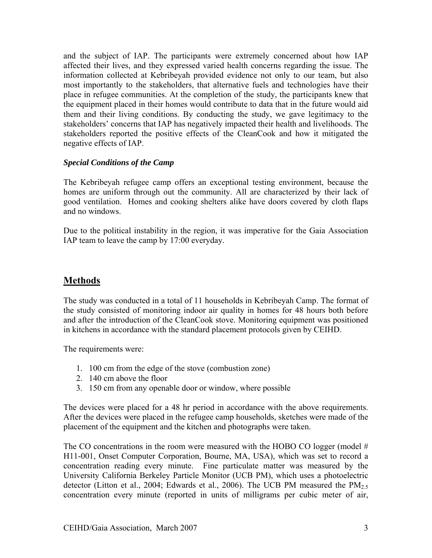and the subject of IAP. The participants were extremely concerned about how IAP affected their lives, and they expressed varied health concerns regarding the issue. The information collected at Kebribeyah provided evidence not only to our team, but also most importantly to the stakeholders, that alternative fuels and technologies have their place in refugee communities. At the completion of the study, the participants knew that the equipment placed in their homes would contribute to data that in the future would aid them and their living conditions. By conducting the study, we gave legitimacy to the stakeholders' concerns that IAP has negatively impacted their health and livelihoods. The stakeholders reported the positive effects of the CleanCook and how it mitigated the negative effects of IAP.

#### *Special Conditions of the Camp*

The Kebribeyah refugee camp offers an exceptional testing environment, because the homes are uniform through out the community. All are characterized by their lack of good ventilation. Homes and cooking shelters alike have doors covered by cloth flaps and no windows.

Due to the political instability in the region, it was imperative for the Gaia Association IAP team to leave the camp by 17:00 everyday.

## **Methods**

The study was conducted in a total of 11 households in Kebribeyah Camp. The format of the study consisted of monitoring indoor air quality in homes for 48 hours both before and after the introduction of the CleanCook stove. Monitoring equipment was positioned in kitchens in accordance with the standard placement protocols given by CEIHD.

The requirements were:

- 1. 100 cm from the edge of the stove (combustion zone)
- 2. 140 cm above the floor
- 3. 150 cm from any openable door or window, where possible

The devices were placed for a 48 hr period in accordance with the above requirements. After the devices were placed in the refugee camp households, sketches were made of the placement of the equipment and the kitchen and photographs were taken.

The CO concentrations in the room were measured with the HOBO CO logger (model  $#$ H11-001, Onset Computer Corporation, Bourne, MA, USA), which was set to record a concentration reading every minute. Fine particulate matter was measured by the University California Berkeley Particle Monitor (UCB PM), which uses a photoelectric detector (Litton et al., 2004; Edwards et al., 2006). The UCB PM measured the  $PM<sub>25</sub>$ concentration every minute (reported in units of milligrams per cubic meter of air,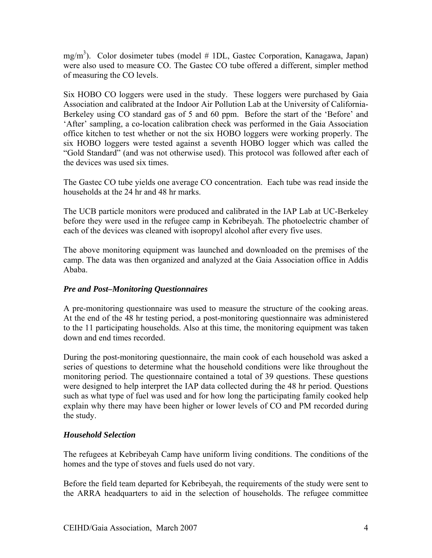mg/m<sup>3</sup>). Color dosimeter tubes (model # 1DL, Gastec Corporation, Kanagawa, Japan) were also used to measure CO. The Gastec CO tube offered a different, simpler method of measuring the CO levels.

Six HOBO CO loggers were used in the study. These loggers were purchased by Gaia Association and calibrated at the Indoor Air Pollution Lab at the University of California-Berkeley using CO standard gas of 5 and 60 ppm. Before the start of the 'Before' and 'After' sampling, a co-location calibration check was performed in the Gaia Association office kitchen to test whether or not the six HOBO loggers were working properly. The six HOBO loggers were tested against a seventh HOBO logger which was called the "Gold Standard" (and was not otherwise used). This protocol was followed after each of the devices was used six times.

The Gastec CO tube yields one average CO concentration. Each tube was read inside the households at the 24 hr and 48 hr marks.

The UCB particle monitors were produced and calibrated in the IAP Lab at UC-Berkeley before they were used in the refugee camp in Kebribeyah. The photoelectric chamber of each of the devices was cleaned with isopropyl alcohol after every five uses.

The above monitoring equipment was launched and downloaded on the premises of the camp. The data was then organized and analyzed at the Gaia Association office in Addis Ababa.

#### *Pre and Post–Monitoring Questionnaires*

A pre-monitoring questionnaire was used to measure the structure of the cooking areas. At the end of the 48 hr testing period, a post-monitoring questionnaire was administered to the 11 participating households. Also at this time, the monitoring equipment was taken down and end times recorded.

During the post-monitoring questionnaire, the main cook of each household was asked a series of questions to determine what the household conditions were like throughout the monitoring period. The questionnaire contained a total of 39 questions. These questions were designed to help interpret the IAP data collected during the 48 hr period. Questions such as what type of fuel was used and for how long the participating family cooked help explain why there may have been higher or lower levels of CO and PM recorded during the study.

### *Household Selection*

The refugees at Kebribeyah Camp have uniform living conditions. The conditions of the homes and the type of stoves and fuels used do not vary.

Before the field team departed for Kebribeyah, the requirements of the study were sent to the ARRA headquarters to aid in the selection of households. The refugee committee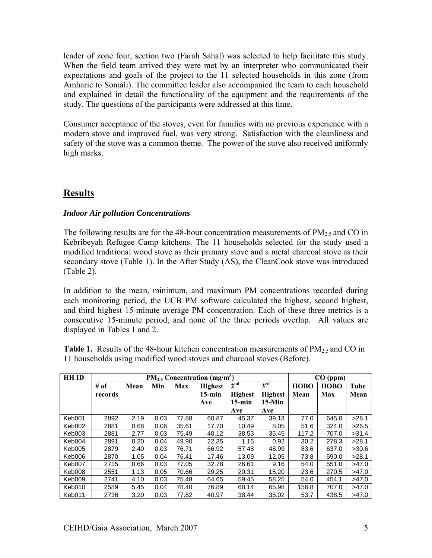leader of zone four, section two (Farah Sahal) was selected to help facilitate this study. When the field team arrived they were met by an interpreter who communicated their expectations and goals of the project to the 11 selected households in this zone (from Amharic to Somali). The committee leader also accompanied the team to each household and explained in detail the functionality of the equipment and the requirements of the study. The questions of the participants were addressed at this time.

Consumer acceptance of the stoves, even for families with no previous experience with a modern stove and improved fuel, was very strong. Satisfaction with the cleanliness and safety of the stove was a common theme. The power of the stove also received uniformly high marks.

## **Results**

#### *Indoor Air pollution Concentrations*

The following results are for the 48-hour concentration measurements of  $PM_{2.5}$  and CO in Kebribeyah Refugee Camp kitchens. The 11 households selected for the study used a modified traditional wood stove as their primary stove and a metal charcoal stove as their secondary stove (Table 1). In the After Study (AS), the CleanCook stove was introduced (Table 2).

In addition to the mean, minimum, and maximum PM concentrations recorded during each monitoring period, the UCB PM software calculated the highest, second highest, and third highest 15-minute average PM concentration. Each of these three metrics is a consecutive 15-minute period, and none of the three periods overlap. All values are displayed in Tables 1 and 2.

**Table 1.** Results of the 48-hour kitchen concentration measurements of  $PM_2$  and CO in 11 households using modified wood stoves and charcoal stoves (Before).

| <b>HH ID</b> | $PM_{2.5}$ Concentration (mg/m <sup>3</sup> ) |      |      |            |                |                 |                 | $CO$ (ppm)  |             |       |
|--------------|-----------------------------------------------|------|------|------------|----------------|-----------------|-----------------|-------------|-------------|-------|
|              | # of                                          | Mean | Min  | <b>Max</b> | <b>Highest</b> | 2 <sup>nd</sup> | 3 <sup>rd</sup> | <b>HOBO</b> | <b>HOBO</b> | Tube  |
|              | records                                       |      |      |            | $15$ -min      | <b>Highest</b>  | <b>Highest</b>  | Mean        | Max         | Mean  |
|              |                                               |      |      |            | Ave            | $15$ -min       | $15-Min$        |             |             |       |
|              |                                               |      |      |            |                | Ave             | Ave             |             |             |       |
| Keb001       | 2892                                          | 2.19 | 0.03 | 77.88      | 60.87          | 45.37           | 39.13           | 77.0        | 645.0       | >28.1 |
| Keb002       | 2881                                          | 0.68 | 0.06 | 35.61      | 17.70          | 10.49           | 8.05            | 51.6        | 324.0       | >26.5 |
| Keb003       | 2881                                          | 2.77 | 0.03 | 75.49      | 40.12          | 38.53           | 35.45           | 117.2       | 707.0       | >31.4 |
| Keb004       | 2891                                          | 0.20 | 0.04 | 49.90      | 22.35          | 1.16            | 0.92            | 30.2        | 278.3       | >28.1 |
| Keb005       | 2879                                          | 2.40 | 0.03 | 76.71      | 66.92          | 57.48           | 48.99           | 83.6        | 637.0       | >30.6 |
| Keb006       | 2870                                          | 1.05 | 0.04 | 76.41      | 17.46          | 13.09           | 12.05           | 73.8        | 590.0       | >28.1 |
| Keb007       | 2715                                          | 0.66 | 0.03 | 77.05      | 32.78          | 26.61           | 9.16            | 54.0        | 551.0       | >47.0 |
| Keb008       | 2551                                          | 1.13 | 0.05 | 70.66      | 29.25          | 20.31           | 15.20           | 23.6        | 270.5       | >47.0 |
| Keb009       | 2741                                          | 4.10 | 0.03 | 75.48      | 64.65          | 59.45           | 58.25           | 54.0        | 454.1       | >47.0 |
| Keb010       | 2589                                          | 5.45 | 0.04 | 78.40      | 76.89          | 68.14           | 65.98           | 156.8       | 707.0       | >47.0 |
| Keb011       | 2736                                          | 3.20 | 0.03 | 77.62      | 40.97          | 38.44           | 35.02           | 53.7        | 438.5       | >47.0 |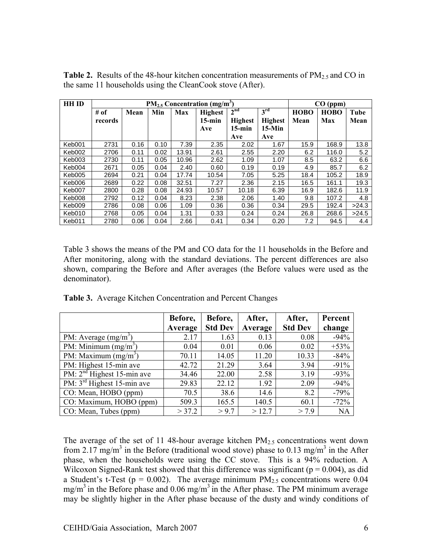**Table 2.** Results of the 48-hour kitchen concentration measurements of  $PM_{2.5}$  and CO in the same 11 households using the CleanCook stove (After).

| <b>HH ID</b> | $PM_{2.5}$ Concentration (mg/m <sup>3</sup> ) |      |      |            |                |                 |                 | CO (ppm)    |             |       |
|--------------|-----------------------------------------------|------|------|------------|----------------|-----------------|-----------------|-------------|-------------|-------|
|              | # of                                          | Mean | Min  | <b>Max</b> | <b>Highest</b> | 2 <sup>nd</sup> | 3 <sup>rd</sup> | <b>HOBO</b> | <b>HOBO</b> | Tube  |
|              | records                                       |      |      |            | $15$ -min      | <b>Highest</b>  | <b>Highest</b>  | Mean        | Max         | Mean  |
|              |                                               |      |      |            | Ave            | $15$ -min       | $15-Min$        |             |             |       |
|              |                                               |      |      |            |                | Ave             | Ave             |             |             |       |
| Keb001       | 2731                                          | 0.16 | 0.10 | 7.39       | 2.35           | 2.02            | 1.67            | 15.9        | 168.9       | 13.8  |
| Keb002       | 2706                                          | 0.11 | 0.02 | 13.91      | 2.61           | 2.55            | 2.20            | 6.2         | 116.0       | 5.2   |
| Keb003       | 2730                                          | 0.11 | 0.05 | 10.96      | 2.62           | 1.09            | 1.07            | 8.5         | 63.2        | 6.6   |
| Keb004       | 2671                                          | 0.05 | 0.04 | 2.40       | 0.60           | 0.19            | 0.19            | 4.9         | 85.7        | 6.2   |
| Keb005       | 2694                                          | 0.21 | 0.04 | 17.74      | 10.54          | 7.05            | 5.25            | 18.4        | 105.2       | 18.9  |
| Keb006       | 2689                                          | 0.22 | 0.08 | 32.51      | 7.27           | 2.36            | 2.15            | 16.5        | 161.1       | 19.3  |
| Keb007       | 2800                                          | 0.28 | 0.08 | 24.93      | 10.57          | 10.18           | 6.39            | 16.9        | 182.6       | 11.9  |
| Keb008       | 2792                                          | 0.12 | 0.04 | 8.23       | 2.38           | 2.06            | 1.40            | 9.8         | 107.2       | 4.8   |
| Keb009       | 2786                                          | 0.08 | 0.06 | 1.09       | 0.36           | 0.36            | 0.34            | 29.5        | 192.4       | >24.3 |
| Keb010       | 2768                                          | 0.05 | 0.04 | 1.31       | 0.33           | 0.24            | 0.24            | 26.8        | 268.6       | >24.5 |
| Keb011       | 2780                                          | 0.06 | 0.04 | 2.66       | 0.41           | 0.34            | 0.20            | 7.2         | 94.5        | 4.4   |

Table 3 shows the means of the PM and CO data for the 11 households in the Before and After monitoring, along with the standard deviations. The percent differences are also shown, comparing the Before and After averages (the Before values were used as the denominator).

|                                               | Before, | Before,        | After,  | After,         | Percent   |
|-----------------------------------------------|---------|----------------|---------|----------------|-----------|
|                                               | Average | <b>Std Dev</b> | Average | <b>Std Dev</b> | change    |
| PM: Average $(mg/m^3)$                        | 2.17    | 1.63           | 0.13    | 0.08           | $-94%$    |
| PM: Minimum $(mg/m^3)$                        | 0.04    | 0.01           | 0.06    | 0.02           | $+53%$    |
| PM: Maximum $(mg/m3)$                         | 70.11   | 14.05          | 11.20   | 10.33          | $-84%$    |
| PM: Highest 15-min ave                        | 42.72   | 21.29          | 3.64    | 3.94           | $-91%$    |
| $\overline{PM}$ : $2^{nd}$ Highest 15-min ave | 34.46   | 22.00          | 2.58    | 3.19           | $-93%$    |
| PM: 3 <sup>rd</sup> Highest 15-min ave        | 29.83   | 22.12          | 1.92    | 2.09           | $-94%$    |
| CO: Mean, HOBO (ppm)                          | 70.5    | 38.6           | 14.6    | 8.2            | $-79%$    |
| CO: Maximum, HOBO (ppm)                       | 509.3   | 165.5          | 140.5   | 60.1           | $-72%$    |
| CO: Mean, Tubes (ppm)                         | > 37.2  | > 9.7          | >12.7   | > 7.9          | <b>NA</b> |

**Table 3.** Average Kitchen Concentration and Percent Changes

The average of the set of 11 48-hour average kitchen  $PM_{2.5}$  concentrations went down from 2.17 mg/m<sup>3</sup> in the Before (traditional wood stove) phase to 0.13 mg/m<sup>3</sup> in the After phase, when the households were using the CC stove. This is a 94% reduction. A Wilcoxon Signed-Rank test showed that this difference was significant ( $p = 0.004$ ), as did a Student's t-Test ( $p = 0.002$ ). The average minimum  $PM_{2.5}$  concentrations were 0.04  $mg/m<sup>3</sup>$  in the Before phase and 0.06 mg/m<sup>3</sup> in the After phase. The PM minimum average may be slightly higher in the After phase because of the dusty and windy conditions of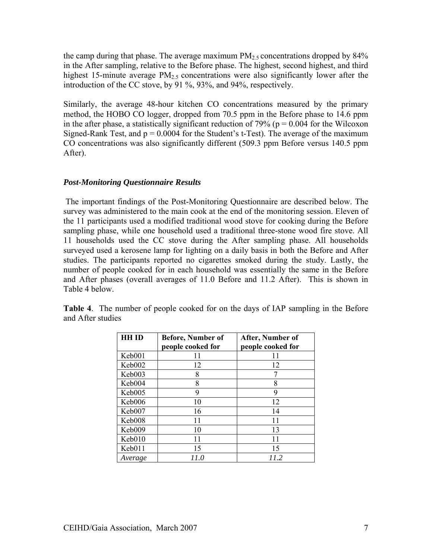the camp during that phase. The average maximum  $PM_{2.5}$  concentrations dropped by  $84\%$ in the After sampling, relative to the Before phase. The highest, second highest, and third highest 15-minute average  $PM_{2.5}$  concentrations were also significantly lower after the introduction of the CC stove, by 91 %, 93%, and 94%, respectively.

Similarly, the average 48-hour kitchen CO concentrations measured by the primary method, the HOBO CO logger, dropped from 70.5 ppm in the Before phase to 14.6 ppm in the after phase, a statistically significant reduction of 79% ( $p = 0.004$  for the Wilcoxon Signed-Rank Test, and  $p = 0.0004$  for the Student's t-Test). The average of the maximum CO concentrations was also significantly different (509.3 ppm Before versus 140.5 ppm After).

#### *Post-Monitoring Questionnaire Results*

 The important findings of the Post-Monitoring Questionnaire are described below. The survey was administered to the main cook at the end of the monitoring session. Eleven of the 11 participants used a modified traditional wood stove for cooking during the Before sampling phase, while one household used a traditional three-stone wood fire stove. All 11 households used the CC stove during the After sampling phase. All households surveyed used a kerosene lamp for lighting on a daily basis in both the Before and After studies. The participants reported no cigarettes smoked during the study. Lastly, the number of people cooked for in each household was essentially the same in the Before and After phases (overall averages of 11.0 Before and 11.2 After). This is shown in Table 4 below.

| <b>HH ID</b> | <b>Before, Number of</b><br>people cooked for | After, Number of<br>people cooked for |
|--------------|-----------------------------------------------|---------------------------------------|
| Keb001       | 11                                            | 11                                    |
| Keb002       | 12                                            | 12                                    |
| Keb003       | 8                                             | 7                                     |
| Keb004       | 8                                             | 8                                     |
| Keb005       | 9                                             | 9                                     |
| Keb006       | 10                                            | 12                                    |
| Keb007       | 16                                            | 14                                    |
| Keb008       | 11                                            | 11                                    |
| Keb009       | 10                                            | 13                                    |
| Keb010       | 11                                            | 11                                    |
| Keb011       | 15                                            | 15                                    |
| Average      | 11.0                                          | 11.2                                  |

**Table 4**. The number of people cooked for on the days of IAP sampling in the Before and After studies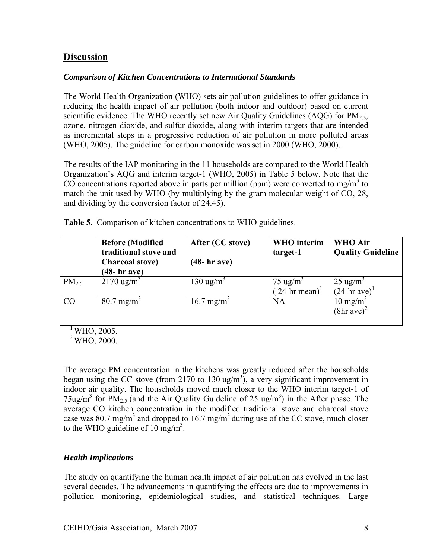### **Discussion**

#### *Comparison of Kitchen Concentrations to International Standards*

The World Health Organization (WHO) sets air pollution guidelines to offer guidance in reducing the health impact of air pollution (both indoor and outdoor) based on current scientific evidence. The WHO recently set new Air Quality Guidelines (AQG) for  $PM_{2.5}$ , ozone, nitrogen dioxide, and sulfur dioxide, along with interim targets that are intended as incremental steps in a progressive reduction of air pollution in more polluted areas (WHO, 2005). The guideline for carbon monoxide was set in 2000 (WHO, 2000).

The results of the IAP monitoring in the 11 households are compared to the World Health Organization's AQG and interim target-1 (WHO, 2005) in Table 5 below. Note that the CO concentrations reported above in parts per million (ppm) were converted to mg/m<sup>3</sup> to match the unit used by WHO (by multiplying by the gram molecular weight of CO, 28, and dividing by the conversion factor of 24.45).

|            | <b>Before (Modified</b><br>traditional stove and<br><b>Charcoal stove)</b><br>$(48 - hr$ ave) | After (CC stove)<br>$(48 - hr$ ave) | <b>WHO</b> interim<br>target-1                  | <b>WHO Air</b><br><b>Quality Guideline</b>      |
|------------|-----------------------------------------------------------------------------------------------|-------------------------------------|-------------------------------------------------|-------------------------------------------------|
| $PM_{2.5}$ | $2170 \text{ ug/m}^3$                                                                         | 130 ug/m <sup>3</sup>               | $75 \text{ ug/m}^3$<br>$(24-hr \text{ mean})^1$ | $25 \text{ ug/m}^3$<br>$(24-hr \text{ ave})^1$  |
| CO         | $80.7$ mg/m <sup>3</sup>                                                                      | $16.7$ mg/m <sup>3</sup>            | <b>NA</b>                                       | $10 \text{ mg/m}^3$<br>$(8hr$ ave) <sup>2</sup> |

**Table 5.** Comparison of kitchen concentrations to WHO guidelines.

 $\sqrt[1]{W}$  WHO, 2005.

 $^{2}$  WHO, 2000.

The average PM concentration in the kitchens was greatly reduced after the households began using the CC stove (from 2170 to 130 ug/m<sup>3</sup>), a very significant improvement in indoor air quality. The households moved much closer to the WHO interim target-1 of 75ug/m<sup>3</sup> for PM<sub>2.5</sub> (and the Air Quality Guideline of 25 ug/m<sup>3</sup>) in the After phase. The average CO kitchen concentration in the modified traditional stove and charcoal stove case was 80.7 mg/m<sup>3</sup> and dropped to 16.7 mg/m<sup>3</sup> during use of the CC stove, much closer to the WHO guideline of 10 mg/m<sup>3</sup>.

#### *Health Implications*

The study on quantifying the human health impact of air pollution has evolved in the last several decades. The advancements in quantifying the effects are due to improvements in pollution monitoring, epidemiological studies, and statistical techniques. Large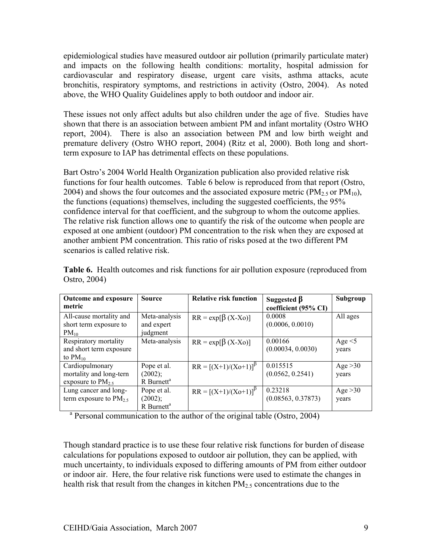epidemiological studies have measured outdoor air pollution (primarily particulate mater) and impacts on the following health conditions: mortality, hospital admission for cardiovascular and respiratory disease, urgent care visits, asthma attacks, acute bronchitis, respiratory symptoms, and restrictions in activity (Ostro, 2004). As noted above, the WHO Quality Guidelines apply to both outdoor and indoor air.

These issues not only affect adults but also children under the age of five. Studies have shown that there is an association between ambient PM and infant mortality (Ostro WHO report, 2004). There is also an association between PM and low birth weight and premature delivery (Ostro WHO report, 2004) (Ritz et al, 2000). Both long and shortterm exposure to IAP has detrimental effects on these populations.

Bart Ostro's 2004 World Health Organization publication also provided relative risk functions for four health outcomes. Table 6 below is reproduced from that report (Ostro, 2004) and shows the four outcomes and the associated exposure metric ( $PM_{2.5}$  or  $PM_{10}$ ), the functions (equations) themselves, including the suggested coefficients, the 95% confidence interval for that coefficient, and the subgroup to whom the outcome applies. The relative risk function allows one to quantify the risk of the outcome when people are exposed at one ambient (outdoor) PM concentration to the risk when they are exposed at another ambient PM concentration. This ratio of risks posed at the two different PM scenarios is called relative risk.

| <b>Outcome and exposure</b> | <b>Source</b>          | <b>Relative risk function</b> | Suggested $\beta$    | Subgroup     |
|-----------------------------|------------------------|-------------------------------|----------------------|--------------|
| metric                      |                        |                               | coefficient (95% CI) |              |
| All-cause mortality and     | Meta-analysis          | $RR = \exp[\beta (X-X_0)]$    | 0.0008               | All ages     |
| short term exposure to      | and expert             |                               | (0.0006, 0.0010)     |              |
| $PM_{10}$                   | judgment               |                               |                      |              |
| Respiratory mortality       | Meta-analysis          | $RR = \exp[\beta (X-Xo)]$     | 0.00166              | Age $\leq$ 5 |
| and short term exposure     |                        |                               | (0.00034, 0.0030)    | years        |
| to $PM_{10}$                |                        |                               |                      |              |
| Cardiopulmonary             | Pope et al.            | $RR = [(X+1)/(Xo+1)]^{p}$     | 0.015515             | Age $>30$    |
| mortality and long-tern     | (2002);                |                               | (0.0562, 0.2541)     | years        |
| exposure to $PM_2$ ,        | R Burnett <sup>a</sup> |                               |                      |              |
| Lung cancer and long-       | Pope et al.            | $RR = [(X+1)/(Xo+1)]^{p}$     | 0.23218              | Age $>30$    |
| term exposure to $PM_{2.5}$ | (2002);                |                               | (0.08563, 0.37873)   | years        |
|                             | R Burnett <sup>a</sup> |                               |                      |              |

**Table 6.** Health outcomes and risk functions for air pollution exposure (reproduced from Ostro, 2004)

<sup>a</sup> Personal communication to the author of the original table (Ostro, 2004)

Though standard practice is to use these four relative risk functions for burden of disease calculations for populations exposed to outdoor air pollution, they can be applied, with much uncertainty, to individuals exposed to differing amounts of PM from either outdoor or indoor air. Here, the four relative risk functions were used to estimate the changes in health risk that result from the changes in kitchen  $PM_{2.5}$  concentrations due to the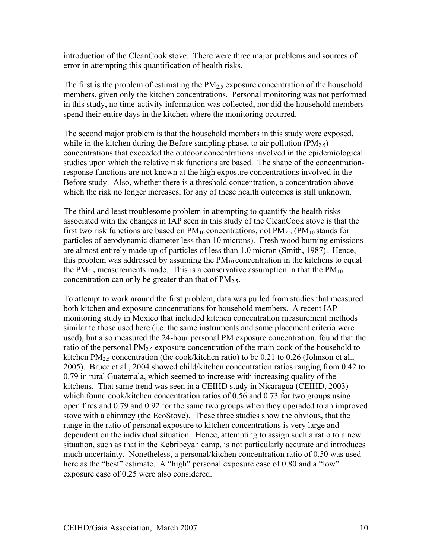introduction of the CleanCook stove. There were three major problems and sources of error in attempting this quantification of health risks.

The first is the problem of estimating the  $PM_{2.5}$  exposure concentration of the household members, given only the kitchen concentrations. Personal monitoring was not performed in this study, no time-activity information was collected, nor did the household members spend their entire days in the kitchen where the monitoring occurred.

The second major problem is that the household members in this study were exposed, while in the kitchen during the Before sampling phase, to air pollution  $(PM_{2.5})$ concentrations that exceeded the outdoor concentrations involved in the epidemiological studies upon which the relative risk functions are based. The shape of the concentrationresponse functions are not known at the high exposure concentrations involved in the Before study. Also, whether there is a threshold concentration, a concentration above which the risk no longer increases, for any of these health outcomes is still unknown.

The third and least troublesome problem in attempting to quantify the health risks associated with the changes in IAP seen in this study of the CleanCook stove is that the first two risk functions are based on  $PM_{10}$  concentrations, not  $PM_{2.5}$  (PM<sub>10</sub> stands for particles of aerodynamic diameter less than 10 microns). Fresh wood burning emissions are almost entirely made up of particles of less than 1.0 micron (Smith, 1987). Hence, this problem was addressed by assuming the  $PM_{10}$  concentration in the kitchens to equal the PM<sub>2.5</sub> measurements made. This is a conservative assumption in that the PM<sub>10</sub> concentration can only be greater than that of  $PM_{2.5}$ .

To attempt to work around the first problem, data was pulled from studies that measured both kitchen and exposure concentrations for household members. A recent IAP monitoring study in Mexico that included kitchen concentration measurement methods similar to those used here (i.e. the same instruments and same placement criteria were used), but also measured the 24-hour personal PM exposure concentration, found that the ratio of the personal  $PM_{2.5}$  exposure concentration of the main cook of the household to kitchen PM<sub>2.5</sub> concentration (the cook/kitchen ratio) to be 0.21 to 0.26 (Johnson et al., 2005). Bruce et al., 2004 showed child/kitchen concentration ratios ranging from 0.42 to 0.79 in rural Guatemala, which seemed to increase with increasing quality of the kitchens. That same trend was seen in a CEIHD study in Nicaragua (CEIHD, 2003) which found cook/kitchen concentration ratios of 0.56 and 0.73 for two groups using open fires and 0.79 and 0.92 for the same two groups when they upgraded to an improved stove with a chimney (the EcoStove). These three studies show the obvious, that the range in the ratio of personal exposure to kitchen concentrations is very large and dependent on the individual situation. Hence, attempting to assign such a ratio to a new situation, such as that in the Kebribeyah camp, is not particularly accurate and introduces much uncertainty. Nonetheless, a personal/kitchen concentration ratio of 0.50 was used here as the "best" estimate. A "high" personal exposure case of 0.80 and a "low" exposure case of 0.25 were also considered.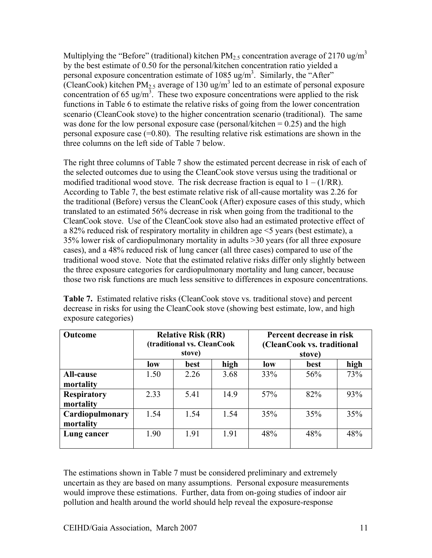Multiplying the "Before" (traditional) kitchen  $PM_{2.5}$  concentration average of 2170 ug/m<sup>3</sup> by the best estimate of 0.50 for the personal/kitchen concentration ratio yielded a personal exposure concentration estimate of 1085 ug/m<sup>3</sup>. Similarly, the "After" (CleanCook) kitchen  $PM_{2.5}$  average of 130 ug/m<sup>3</sup> led to an estimate of personal exposure concentration of 65 ug/m<sup>3</sup>. These two exposure concentrations were applied to the risk functions in Table 6 to estimate the relative risks of going from the lower concentration scenario (CleanCook stove) to the higher concentration scenario (traditional). The same was done for the low personal exposure case (personal/kitchen  $= 0.25$ ) and the high personal exposure case (=0.80). The resulting relative risk estimations are shown in the three columns on the left side of Table 7 below.

The right three columns of Table 7 show the estimated percent decrease in risk of each of the selected outcomes due to using the CleanCook stove versus using the traditional or modified traditional wood stove. The risk decrease fraction is equal to  $1 - (1/RR)$ . According to Table 7, the best estimate relative risk of all-cause mortality was 2.26 for the traditional (Before) versus the CleanCook (After) exposure cases of this study, which translated to an estimated 56% decrease in risk when going from the traditional to the CleanCook stove. Use of the CleanCook stove also had an estimated protective effect of a 82% reduced risk of respiratory mortality in children age <5 years (best estimate), a 35% lower risk of cardiopulmonary mortality in adults >30 years (for all three exposure cases), and a 48% reduced risk of lung cancer (all three cases) compared to use of the traditional wood stove. Note that the estimated relative risks differ only slightly between the three exposure categories for cardiopulmonary mortality and lung cancer, because those two risk functions are much less sensitive to differences in exposure concentrations.

| <b>Outcome</b>                  | <b>Relative Risk (RR)</b><br>(traditional vs. CleanCook<br>stove) |      |      | Percent decrease in risk<br>(CleanCook vs. traditional<br>stove) |      |      |
|---------------------------------|-------------------------------------------------------------------|------|------|------------------------------------------------------------------|------|------|
|                                 | high<br>low<br>best                                               |      |      | low                                                              | best | high |
| <b>All-cause</b><br>mortality   | 1.50                                                              | 2.26 | 3.68 | 33%                                                              | 56%  | 73%  |
| <b>Respiratory</b><br>mortality | 2.33                                                              | 5.41 | 14.9 | 57%                                                              | 82%  | 93%  |
| Cardiopulmonary<br>mortality    | 1.54                                                              | 1.54 | 1.54 | 35%                                                              | 35%  | 35%  |
| Lung cancer                     | 1.90                                                              | 1.91 | 1.91 | 48%                                                              | 48%  | 48%  |

Table 7. Estimated relative risks (CleanCook stove vs. traditional stove) and percent decrease in risks for using the CleanCook stove (showing best estimate, low, and high exposure categories)

The estimations shown in Table 7 must be considered preliminary and extremely uncertain as they are based on many assumptions. Personal exposure measurements would improve these estimations. Further, data from on-going studies of indoor air pollution and health around the world should help reveal the exposure-response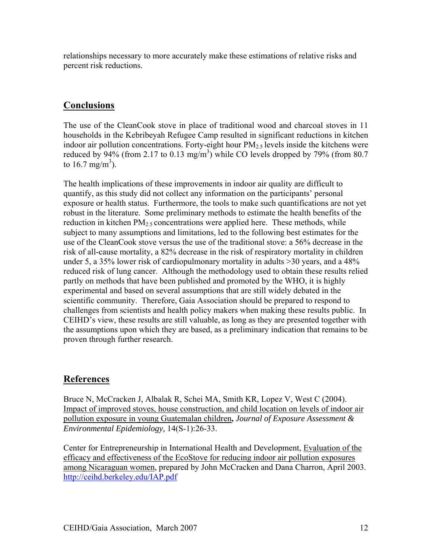relationships necessary to more accurately make these estimations of relative risks and percent risk reductions.

# **Conclusions**

The use of the CleanCook stove in place of traditional wood and charcoal stoves in 11 households in the Kebribeyah Refugee Camp resulted in significant reductions in kitchen indoor air pollution concentrations. Forty-eight hour  $PM_{2.5}$  levels inside the kitchens were reduced by 94% (from 2.17 to 0.13 mg/m<sup>3</sup>) while CO levels dropped by 79% (from 80.7 to 16.7 mg/m<sup>3</sup>).

The health implications of these improvements in indoor air quality are difficult to quantify, as this study did not collect any information on the participants' personal exposure or health status. Furthermore, the tools to make such quantifications are not yet robust in the literature. Some preliminary methods to estimate the health benefits of the reduction in kitchen  $PM_{2.5}$  concentrations were applied here. These methods, while subject to many assumptions and limitations, led to the following best estimates for the use of the CleanCook stove versus the use of the traditional stove: a 56% decrease in the risk of all-cause mortality, a 82% decrease in the risk of respiratory mortality in children under 5, a 35% lower risk of cardiopulmonary mortality in adults >30 years, and a 48% reduced risk of lung cancer. Although the methodology used to obtain these results relied partly on methods that have been published and promoted by the WHO, it is highly experimental and based on several assumptions that are still widely debated in the scientific community. Therefore, Gaia Association should be prepared to respond to challenges from scientists and health policy makers when making these results public. In CEIHD's view, these results are still valuable, as long as they are presented together with the assumptions upon which they are based, as a preliminary indication that remains to be proven through further research.

## **References**

Bruce N, McCracken J, Albalak R, Schei MA, Smith KR, Lopez V, West C (2004). Impact of improved stoves, house construction, and child location on levels of indoor air pollution exposure in young Guatemalan children**,** *Journal of Exposure Assessment & Environmental Epidemiology,* 14(S-1):26-33.

Center for Entrepreneurship in International Health and Development, Evaluation of the efficacy and effectiveness of the EcoStove for reducing indoor air pollution exposures among Nicaraguan women, prepared by John McCracken and Dana Charron, April 2003. http://ceihd.berkeley.edu/IAP.pdf